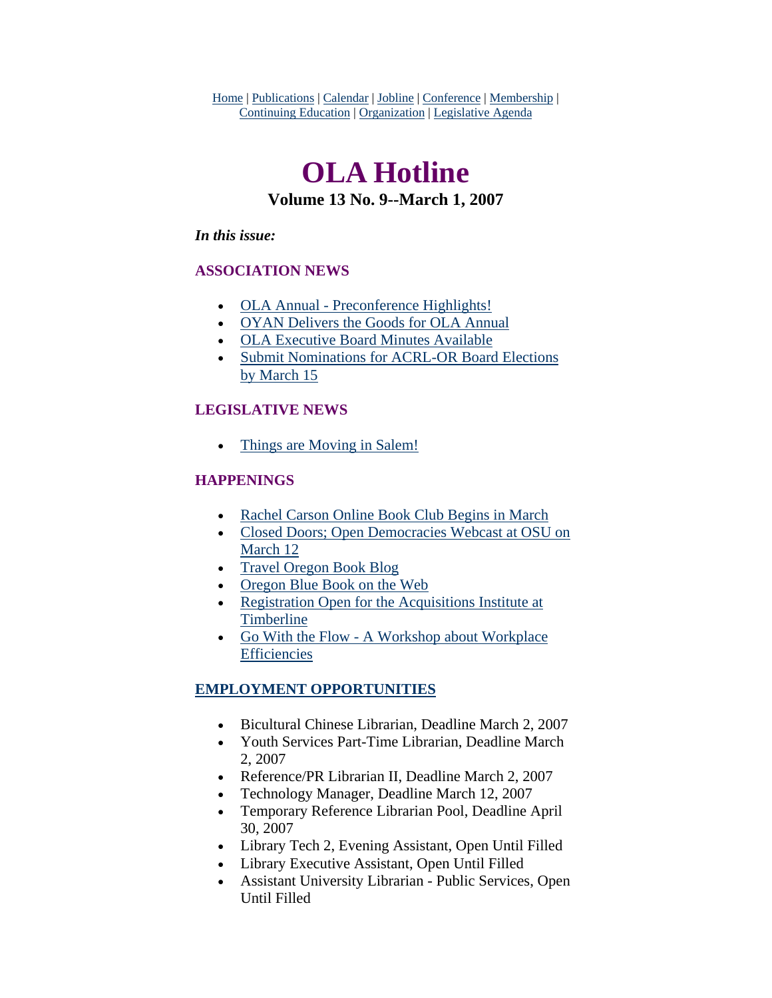Home | Publications | Calendar | Jobline | Conference | Membership | Continuing Education | Organization | Legislative Agenda

# **OLA Hotline Volume 13 No. 9--March 1, 2007**

#### *In this issue:*

### **ASSOCIATION NEWS**

- [OLA Annual Preconference Highlights!](#page-1-0)
- [OYAN Delivers the Goods for OLA Annual](#page-2-0)
- [OLA Executive Board Minutes Available](#page-3-0)
- [Submit Nominations for ACRL-OR Board Elections](#page-3-0)  [by March 15](#page-3-0)

### **LEGISLATIVE NEWS**

• [Things are Moving in Salem!](#page-4-0)

### **HAPPENINGS**

- [Rachel Carson Online Book Club Begins in March](#page-5-0)
- [Closed Doors; Open Democracies Webcast at OSU on](#page-5-0)  [March 12](#page-5-0)
- [Travel Oregon Book Blog](#page-6-0)
- [Oregon Blue Book on the Web](#page-6-0)
- [Registration Open for the Acquisitions Institute at](#page-7-0)  [Timberline](#page-7-0)
- [Go With the Flow A Workshop about Workplace](#page-7-0)  **[Efficiencies](#page-7-0)**

## **EMPLOYMENT OPPORTUNITIES**

- Bicultural Chinese Librarian, Deadline March 2, 2007
- Youth Services Part-Time Librarian, Deadline March 2, 2007
- Reference/PR Librarian II, Deadline March 2, 2007
- Technology Manager, Deadline March 12, 2007
- Temporary Reference Librarian Pool, Deadline April 30, 2007
- Library Tech 2, Evening Assistant, Open Until Filled
- Library Executive Assistant, Open Until Filled
- Assistant University Librarian Public Services, Open Until Filled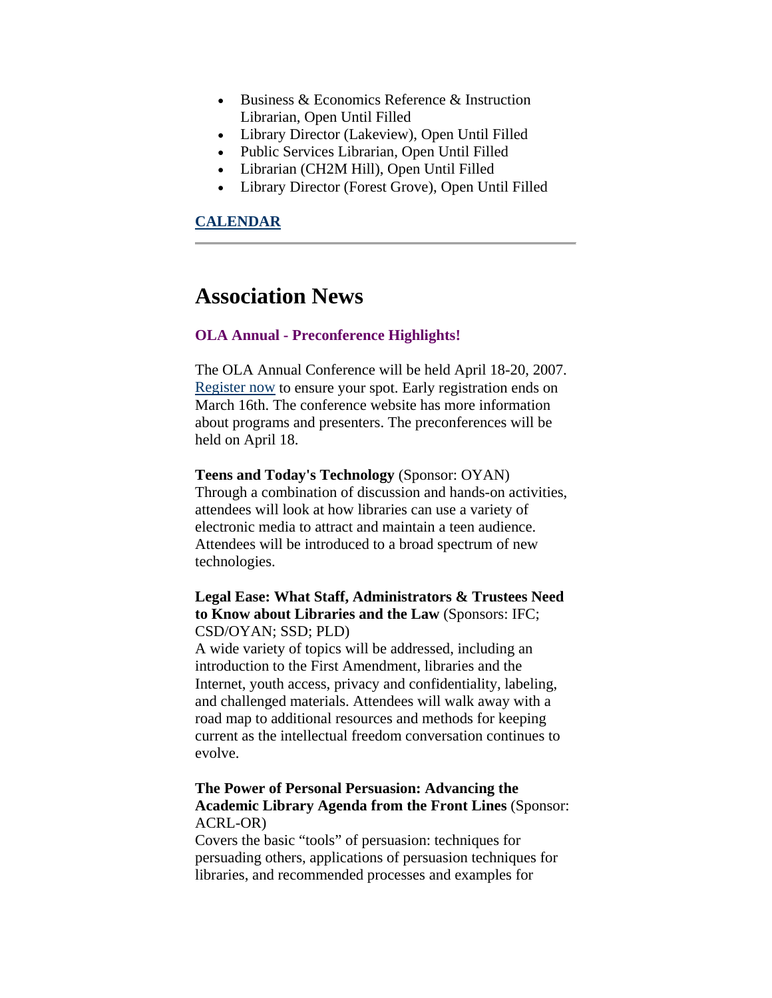- <span id="page-1-0"></span>• Business & Economics Reference & Instruction Librarian, Open Until Filled
- Library Director (Lakeview), Open Until Filled
- Public Services Librarian, Open Until Filled
- Librarian (CH2M Hill), Open Until Filled
- Library Director (Forest Grove), Open Until Filled

#### **CALENDAR**

## **Association News**

#### **OLA Annual - Preconference Highlights!**

The OLA Annual Conference will be held April 18-20, 2007. [Register now](http://www.olaweb.org/conference/) to ensure your spot. Early registration ends on March 16th. The conference website has more information about programs and presenters. The preconferences will be held on April 18.

**Teens and Today's Technology** (Sponsor: OYAN) Through a combination of discussion and hands-on activities, attendees will look at how libraries can use a variety of electronic media to attract and maintain a teen audience. Attendees will be introduced to a broad spectrum of new technologies.

#### **Legal Ease: What Staff, Administrators & Trustees Need to Know about Libraries and the Law** (Sponsors: IFC; CSD/OYAN; SSD; PLD)

A wide variety of topics will be addressed, including an introduction to the First Amendment, libraries and the Internet, youth access, privacy and confidentiality, labeling, and challenged materials. Attendees will walk away with a road map to additional resources and methods for keeping current as the intellectual freedom conversation continues to evolve.

#### **The Power of Personal Persuasion: Advancing the Academic Library Agenda from the Front Lines** (Sponsor: ACRL-OR)

Covers the basic "tools" of persuasion: techniques for persuading others, applications of persuasion techniques for libraries, and recommended processes and examples for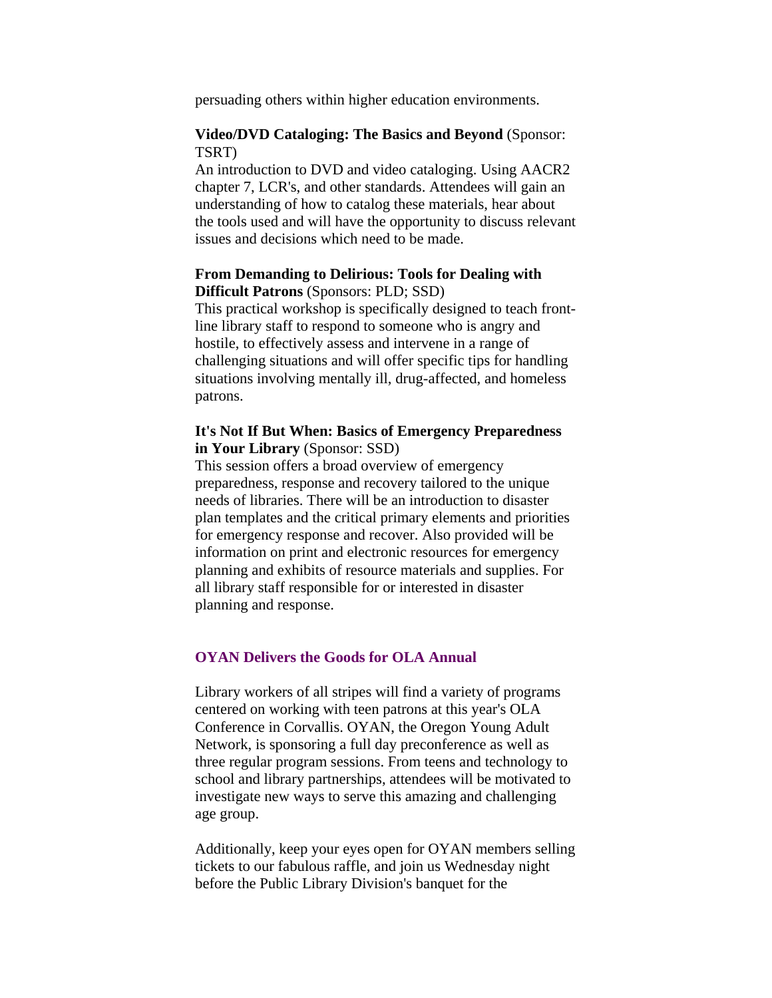<span id="page-2-0"></span>persuading others within higher education environments.

#### **Video/DVD Cataloging: The Basics and Beyond** (Sponsor: TSRT)

An introduction to DVD and video cataloging. Using AACR2 chapter 7, LCR's, and other standards. Attendees will gain an understanding of how to catalog these materials, hear about the tools used and will have the opportunity to discuss relevant issues and decisions which need to be made.

#### **From Demanding to Delirious: Tools for Dealing with Difficult Patrons** (Sponsors: PLD; SSD)

This practical workshop is specifically designed to teach frontline library staff to respond to someone who is angry and hostile, to effectively assess and intervene in a range of challenging situations and will offer specific tips for handling situations involving mentally ill, drug-affected, and homeless patrons.

#### **It's Not If But When: Basics of Emergency Preparedness in Your Library** (Sponsor: SSD)

This session offers a broad overview of emergency preparedness, response and recovery tailored to the unique needs of libraries. There will be an introduction to disaster plan templates and the critical primary elements and priorities for emergency response and recover. Also provided will be information on print and electronic resources for emergency planning and exhibits of resource materials and supplies. For all library staff responsible for or interested in disaster planning and response.

#### **OYAN Delivers the Goods for OLA Annual**

Library workers of all stripes will find a variety of programs centered on working with teen patrons at this year's OLA Conference in Corvallis. OYAN, the Oregon Young Adult Network, is sponsoring a full day preconference as well as three regular program sessions. From teens and technology to school and library partnerships, attendees will be motivated to investigate new ways to serve this amazing and challenging age group.

Additionally, keep your eyes open for OYAN members selling tickets to our fabulous raffle, and join us Wednesday night before the Public Library Division's banquet for the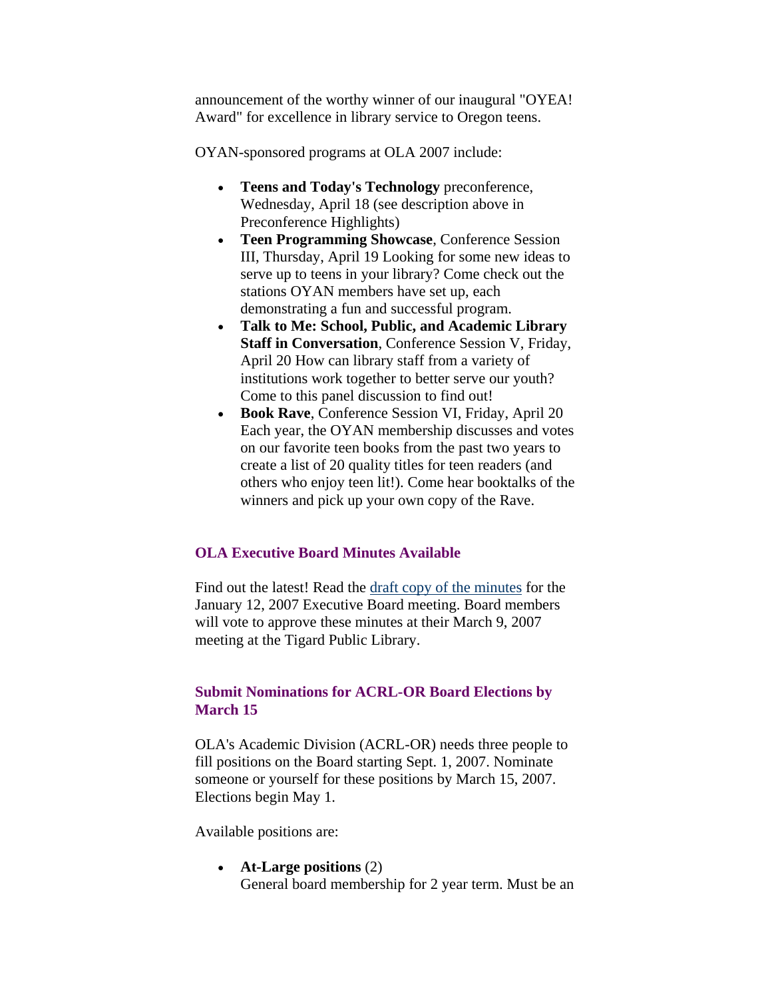<span id="page-3-0"></span>announcement of the worthy winner of our inaugural "OYEA! Award" for excellence in library service to Oregon teens.

OYAN-sponsored programs at OLA 2007 include:

- **Teens and Today's Technology** preconference, Wednesday, April 18 (see description above in Preconference Highlights)
- **Teen Programming Showcase**, Conference Session III, Thursday, April 19 Looking for some new ideas to serve up to teens in your library? Come check out the stations OYAN members have set up, each demonstrating a fun and successful program.
- **Talk to Me: School, Public, and Academic Library Staff in Conversation**, Conference Session V, Friday, April 20 How can library staff from a variety of institutions work together to better serve our youth? Come to this panel discussion to find out!
- **Book Rave**, Conference Session VI, Friday, April 20 Each year, the OYAN membership discusses and votes on our favorite teen books from the past two years to create a list of 20 quality titles for teen readers (and others who enjoy teen lit!). Come hear booktalks of the winners and pick up your own copy of the Rave.

#### **OLA Executive Board Minutes Available**

Find out the latest! Read the [draft copy of the minutes](http://www.olaweb.org/minutes/OLAmin0107.doc) for the January 12, 2007 Executive Board meeting. Board members will vote to approve these minutes at their March 9, 2007 meeting at the Tigard Public Library.

#### **Submit Nominations for ACRL-OR Board Elections by March 15**

OLA's Academic Division (ACRL-OR) needs three people to fill positions on the Board starting Sept. 1, 2007. Nominate someone or yourself for these positions by March 15, 2007. Elections begin May 1.

Available positions are:

• **At-Large positions** (2) General board membership for 2 year term. Must be an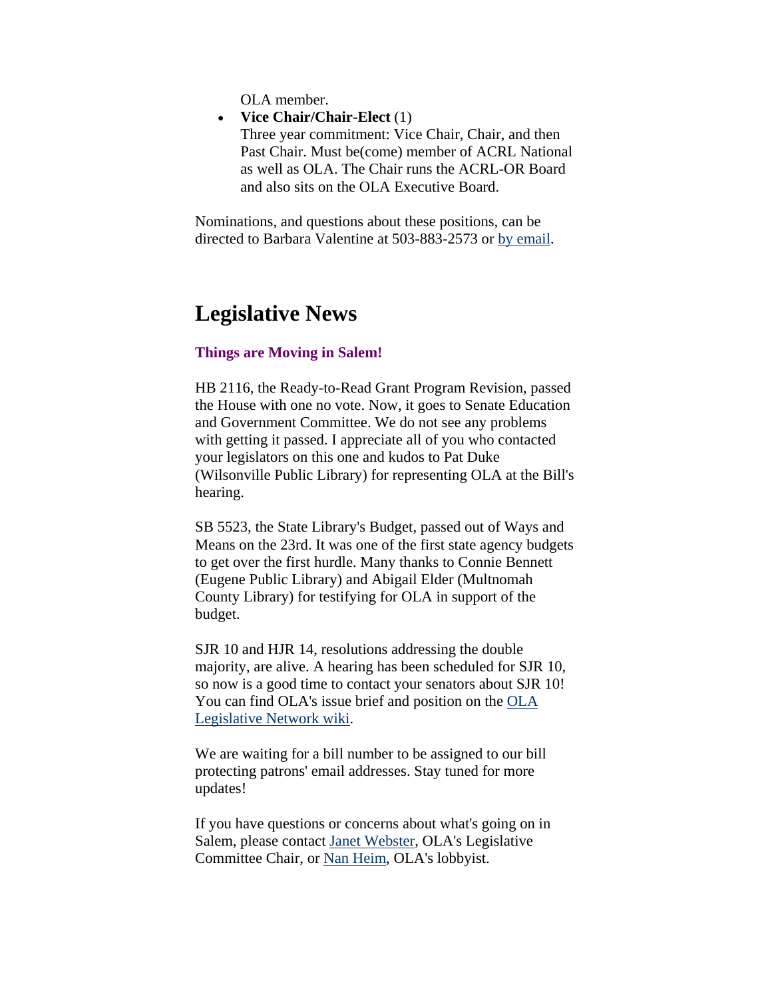OLA member.

<span id="page-4-0"></span>• **Vice Chair/Chair-Elect** (1)

Three year commitment: Vice Chair, Chair, and then Past Chair. Must be(come) member of ACRL National as well as OLA. The Chair runs the ACRL-OR Board and also sits on the OLA Executive Board.

Nominations, and questions about these positions, can be directed to Barbara Valentine at 503-883-2573 or [by email.](mailto:bvalen@linfield.edu)

## **Legislative News**

#### **Things are Moving in Salem!**

HB 2116, the Ready-to-Read Grant Program Revision, passed the House with one no vote. Now, it goes to Senate Education and Government Committee. We do not see any problems with getting it passed. I appreciate all of you who contacted your legislators on this one and kudos to Pat Duke (Wilsonville Public Library) for representing OLA at the Bill's hearing.

SB 5523, the State Library's Budget, passed out of Ways and Means on the 23rd. It was one of the first state agency budgets to get over the first hurdle. Many thanks to Connie Bennett (Eugene Public Library) and Abigail Elder (Multnomah County Library) for testifying for OLA in support of the budget.

SJR 10 and HJR 14, resolutions addressing the double majority, are alive. A hearing has been scheduled for SJR 10, so now is a good time to contact your senators about SJR 10! You can find OLA's issue brief and position on the [OLA](http://olanetwork.wikispaces.com/)  [Legislative Network wiki](http://olanetwork.wikispaces.com/).

We are waiting for a bill number to be assigned to our bill protecting patrons' email addresses. Stay tuned for more updates!

If you have questions or concerns about what's going on in Salem, please contact [Janet Webster](mailto:janet.webser@oregonstate.edu), OLA's Legislative Committee Chair, or [Nan Heim](mailto:nanheim@nanheim.com), OLA's lobbyist.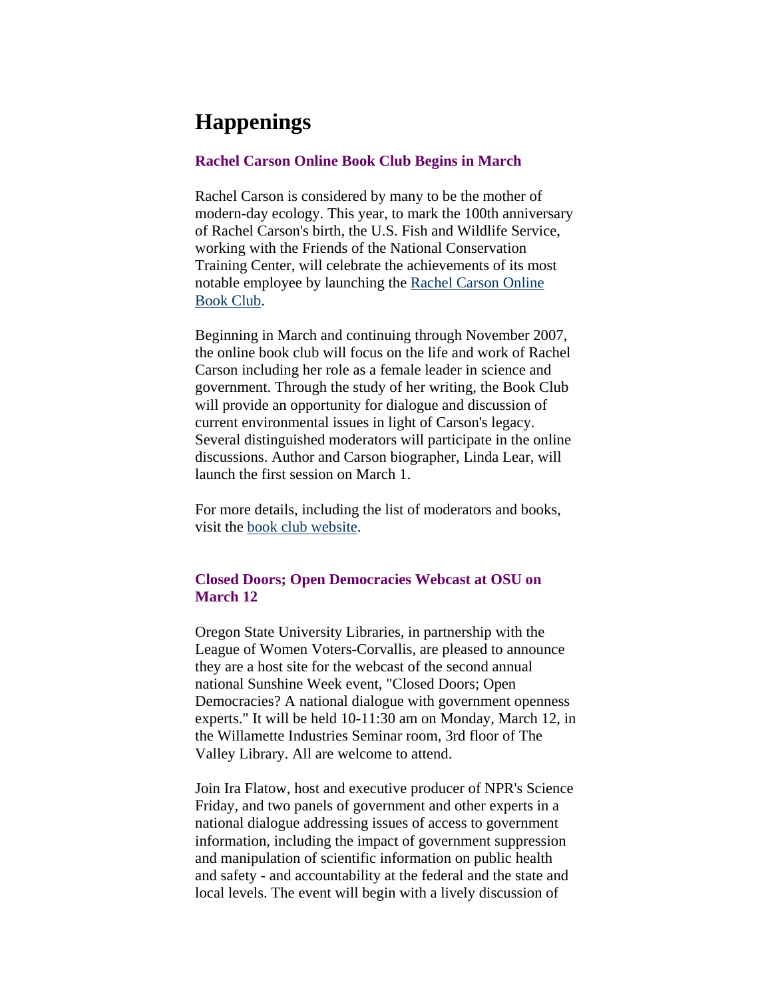# <span id="page-5-0"></span>**Happenings**

#### **Rachel Carson Online Book Club Begins in March**

Rachel Carson is considered by many to be the mother of modern-day ecology. This year, to mark the 100th anniversary of Rachel Carson's birth, the U.S. Fish and Wildlife Service, working with the Friends of the National Conservation Training Center, will celebrate the achievements of its most notable employee by launching the [Rachel Carson Online](http://rcbookclub.blogspot.com/)  [Book Club](http://rcbookclub.blogspot.com/).

Beginning in March and continuing through November 2007, the online book club will focus on the life and work of Rachel Carson including her role as a female leader in science and government. Through the study of her writing, the Book Club will provide an opportunity for dialogue and discussion of current environmental issues in light of Carson's legacy. Several distinguished moderators will participate in the online discussions. Author and Carson biographer, Linda Lear, will launch the first session on March 1.

For more details, including the list of moderators and books, visit the [book club website.](http://rcbookclub.blogspot.com/)

#### **Closed Doors; Open Democracies Webcast at OSU on March 12**

Oregon State University Libraries, in partnership with the League of Women Voters-Corvallis, are pleased to announce they are a host site for the webcast of the second annual national Sunshine Week event, "Closed Doors; Open Democracies? A national dialogue with government openness experts." It will be held 10-11:30 am on Monday, March 12, in the Willamette Industries Seminar room, 3rd floor of The Valley Library. All are welcome to attend.

Join Ira Flatow, host and executive producer of NPR's Science Friday, and two panels of government and other experts in a national dialogue addressing issues of access to government information, including the impact of government suppression and manipulation of scientific information on public health and safety - and accountability at the federal and the state and local levels. The event will begin with a lively discussion of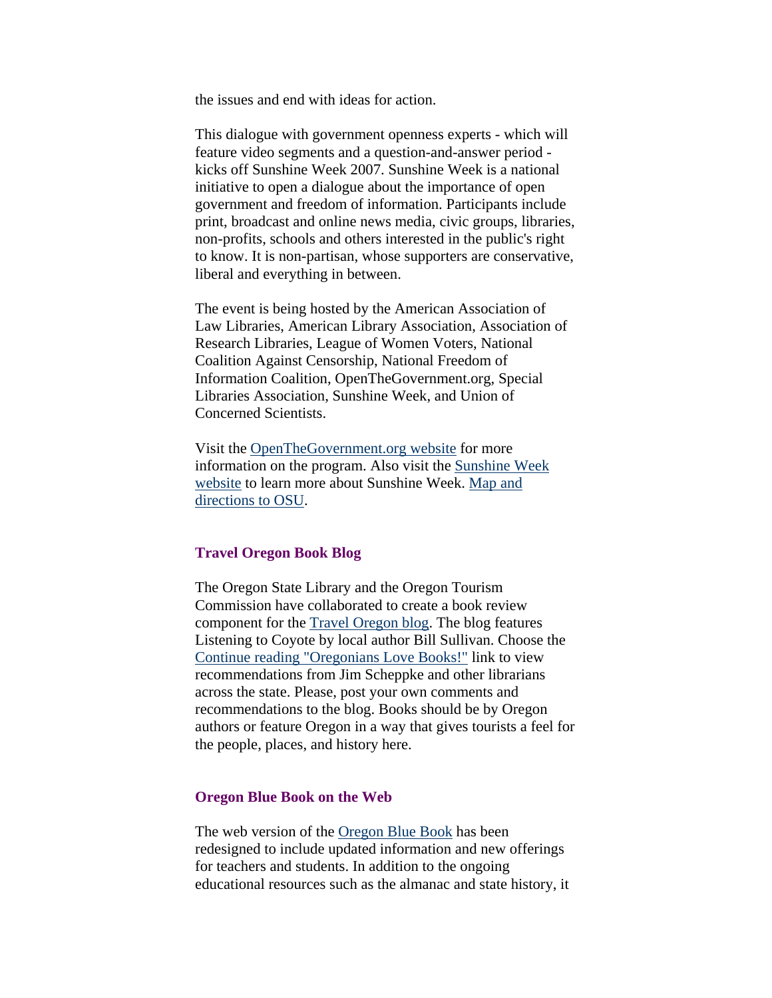<span id="page-6-0"></span>the issues and end with ideas for action.

This dialogue with government openness experts - which will feature video segments and a question-and-answer period kicks off Sunshine Week 2007. Sunshine Week is a national initiative to open a dialogue about the importance of open government and freedom of information. Participants include print, broadcast and online news media, civic groups, libraries, non-profits, schools and others interested in the public's right to know. It is non-partisan, whose supporters are conservative, liberal and everything in between.

The event is being hosted by the American Association of Law Libraries, American Library Association, Association of Research Libraries, League of Women Voters, National Coalition Against Censorship, National Freedom of Information Coalition, OpenTheGovernment.org, Special Libraries Association, Sunshine Week, and Union of Concerned Scientists.

Visit the [OpenTheGovernment.org website](http://www.openthegovernment.org/) for more information on the program. Also visit the [Sunshine Week](http://www.sunshineweek.org/)  [website](http://www.sunshineweek.org/) to learn more about Sunshine Week. [Map and](http://osulibrary.oregonstate.edu/locations/findus.html)  [directions to OSU](http://osulibrary.oregonstate.edu/locations/findus.html).

#### **Travel Oregon Book Blog**

The Oregon State Library and the Oregon Tourism Commission have collaborated to create a book review component for the [Travel Oregon blog](http://blog.traveloregon.com/). The blog features Listening to Coyote by local author Bill Sullivan. Choose the [Continue reading "Oregonians Love Books!"](http://blog.traveloregon.com/2007/02/oregonians_love_books.html#more) link to view recommendations from Jim Scheppke and other librarians across the state. Please, post your own comments and recommendations to the blog. Books should be by Oregon authors or feature Oregon in a way that gives tourists a feel for the people, places, and history here.

#### **Oregon Blue Book on the Web**

The web version of the [Oregon Blue Book](http://bluebook.state.or.us/) has been redesigned to include updated information and new offerings for teachers and students. In addition to the ongoing educational resources such as the almanac and state history, it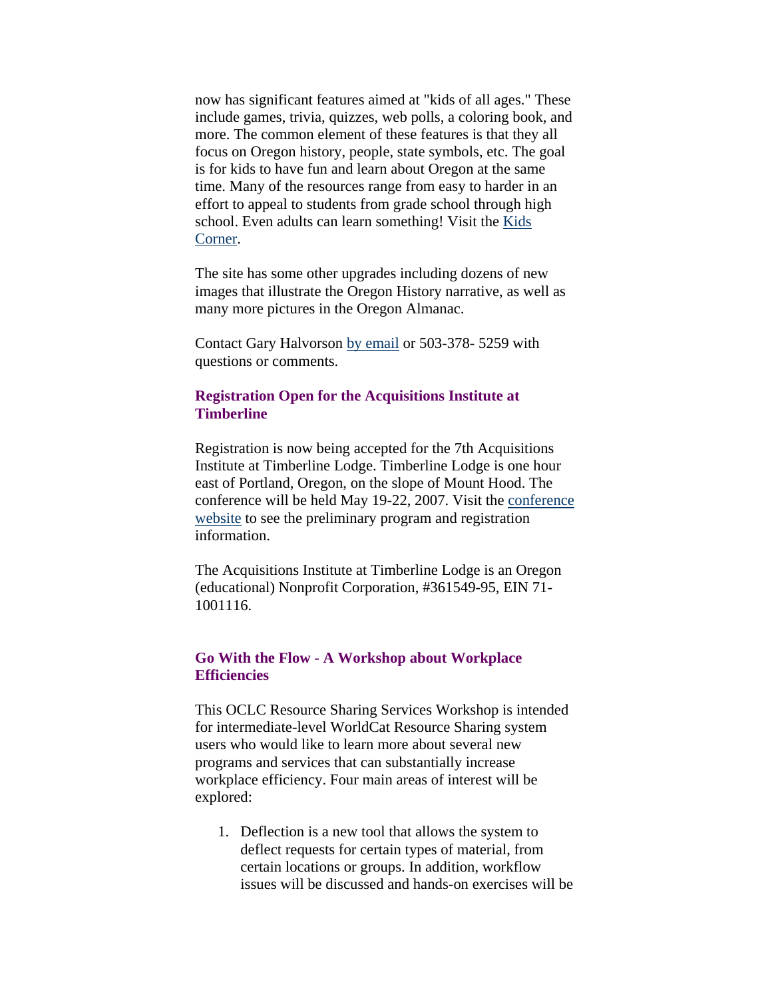<span id="page-7-0"></span>now has significant features aimed at "kids of all ages." These include games, trivia, quizzes, web polls, a coloring book, and more. The common element of these features is that they all focus on Oregon history, people, state symbols, etc. The goal is for kids to have fun and learn about Oregon at the same time. Many of the resources range from easy to harder in an effort to appeal to students from grade school through high school. Even adults can learn something! Visit the [Kids](http://bluebook.state.or.us/kids/)  [Corner](http://bluebook.state.or.us/kids/).

The site has some other upgrades including dozens of new images that illustrate the Oregon History narrative, as well as many more pictures in the Oregon Almanac.

Contact Gary Halvorson [by email](mailto:gary.d.halvorson@state.or.us) or 503-378- 5259 with questions or comments.

#### **Registration Open for the Acquisitions Institute at Timberline**

Registration is now being accepted for the 7th Acquisitions Institute at Timberline Lodge. Timberline Lodge is one hour east of Portland, Oregon, on the slope of Mount Hood. The conference will be held May 19-22, 2007. Visit the [conference](http://libweb.uoregon.edu/ec/aitl/)  [website](http://libweb.uoregon.edu/ec/aitl/) to see the preliminary program and registration information.

The Acquisitions Institute at Timberline Lodge is an Oregon (educational) Nonprofit Corporation, #361549-95, EIN 71- 1001116.

### **Go With the Flow - A Workshop about Workplace Efficiencies**

This OCLC Resource Sharing Services Workshop is intended for intermediate-level WorldCat Resource Sharing system users who would like to learn more about several new programs and services that can substantially increase workplace efficiency. Four main areas of interest will be explored:

1. Deflection is a new tool that allows the system to deflect requests for certain types of material, from certain locations or groups. In addition, workflow issues will be discussed and hands-on exercises will be